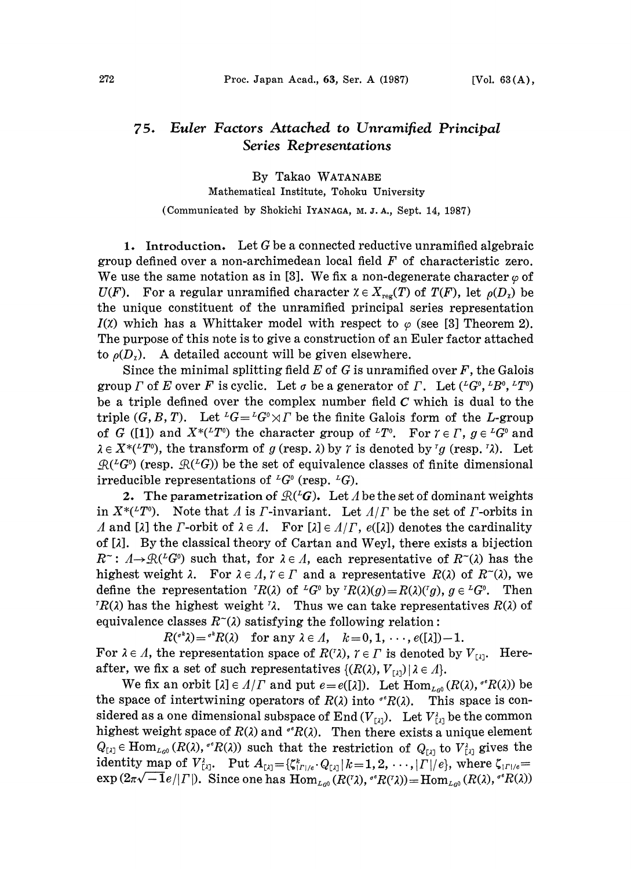## Euler Factors Attached to Unramified Principal  $75.$ Series Representations

By Takao WATANABE Mathematical Institute, Tohoku University (Communicated by Shokichi IYANAGA, M. J. A., Sept. 14, 1987)

1. Introduction. Let G be a connected reductive unramified algebraic group defined over a non-archimedean local field  $F$  of characteristic zero. We use the same notation as in [3]. We fix a non-degenerate character  $\varphi$  of  $U(F)$ . For a regular unramified character  $\chi \in X_{\text{reg}}(T)$  of  $T(F)$ , let  $\rho(D_{\chi})$  be the unique constituent of the unramified principal series representation  $I(\mathfrak{X})$  which has a Whittaker model with respect to  $\varphi$  (see [3] Theorem 2). The purpose of this note is to give a construction of an Euler factor attached to  $\rho(D_2)$ . A detailed account will be given elsewhere.

Since the minimal splitting field  $E$  of  $G$  is unramified over  $F$ , the Galois group  $\Gamma$  of E over F is cyclic. Let  $\sigma$  be a generator of  $\Gamma$ . Let  $({}^L G^0, {}^L B^0, {}^L T^0)$ be a triple defined over the complex number field  $C$  which is dual to the triple  $(G, B, T)$ . Let  ${}^L G = {}^L G^{\circ} \rtimes \Gamma$  be the finite Galois form of the L-group of G ([1]) and  $X^*(^TT^0)$  the character group of  $^LT^0$ . For  $\gamma \in \Gamma$ ,  $g \in {}^LG^0$  and  $\in X^{*(T^0)}$ , the transform of g (resp.  $\lambda$ ) by  $\gamma$  is denoted by  $^r g$  (resp.  $^r \lambda$ ). Let  $\mathcal{R}(\mathcal{L}G^0)$  (resp.  $\mathcal{R}(\mathcal{L}G)$ ) be the set of equivalence classes of finite dimensional irreducible representations of  ${}^L G^0$  (resp.  ${}^L G$ ).

2. The parametrization of  $\mathcal{R}({}^L G)$ . Let A be the set of dominant weights in  $X^*(T^0)$ . Note that A is F-invariant. Let  $A/\Gamma$  be the set of F-orbits in A and [ $\lambda$ ] the  $\Gamma$ -orbit of  $\lambda \in \Lambda$ . For  $[\lambda] \in \Lambda/\Gamma$ ,  $e([\lambda])$  denotes the cardinality of [2]. By the classical theory of Cartan and Weyl, there exists a bijection  $R^{\sim}$ :  $\Lambda \rightarrow \mathcal{R}(^L G^0)$  such that, for  $\lambda \in \Lambda$ , each representative of  $R^{\sim}(\lambda)$  has the highest weight  $\lambda$ . For  $\lambda \in \Lambda$ ,  $\tau \in \Gamma$  and a representative  $R(\lambda)$  of  $R^{\sim}(\lambda)$ , we define the representation  ${}^{r}R(\lambda)$  of  ${}^{L}G^{0}$  by  ${}^{r}R(\lambda)(g)=R(\lambda)({}^{r}g)$ ,  $g\in {}^{L}G^{0}$ . Then  ${}^{r}R(\lambda)$  has the highest weight  ${}^{r}\lambda$ . Thus we can take representatives  $R(\lambda)$  of equivalence classes  $R^{\sim}(\lambda)$  satisfying the following relation:

 $R({}^{\circ k}\lambda)={}^{\circ k}R(\lambda)$  for any  $\lambda\in\Lambda$ ,  $k=0, 1, \dots, e([\lambda])-1$ . For  $\lambda \in \Lambda$ , the representation space of  $R(\lambda)$ ,  $\gamma \in \Gamma$  is denoted by  $V_{[\lambda]}$ . Hereafter, we fix a set of such representatives  $\{(R(\lambda), V_{[\lambda]}) \mid \lambda \in \Lambda\}.$ 

We fix an orbit  $[\lambda] \in \Lambda/\Gamma$  and put  $e = e([\lambda])$ . Let  $\text{Hom}_{L_{\text{col}}}(R(\lambda), {^{\sigma}}^e R(\lambda))$  be the space of intertwining operators of  $R(\lambda)$  into  ${}^{\circ}R(\lambda)$ . This space is considered as a one dimensional subspace of End  $(V_{[1]})$ . Let  $V_{[2]}^{\lambda}$  be the common highest weight space of  $R(\lambda)$  and  $\mathfrak{r}^{\epsilon}R(\lambda)$ . Then there exists a unique element  $Q_{[\lambda]} \in \text{Hom}_{L_{G^0}}(R(\lambda), {^{\sigma}}R(\lambda))$  such that the restriction of  $Q_{[\lambda]}$  to  $V_{[\lambda]}^{\lambda}$  gives the identity map of  $V_{[1]}$ . Put  $A_{[1]} = {\zeta_{[1]}^* \cdot Q_{[1]}} |k=1, 2, \cdots, |T|/e$ , where  $\zeta_{|T|/e}$ - $\exp(2\pi\sqrt{-1}e/|T|)$ . Since one has  $\text{Hom}_{L_{G^0}}(R(\tilde{Z}), e^R R(\tilde{Z})) = \text{Hom}_{L_{G^0}}(R(\tilde{Z}), e^R R(\tilde{Z}))$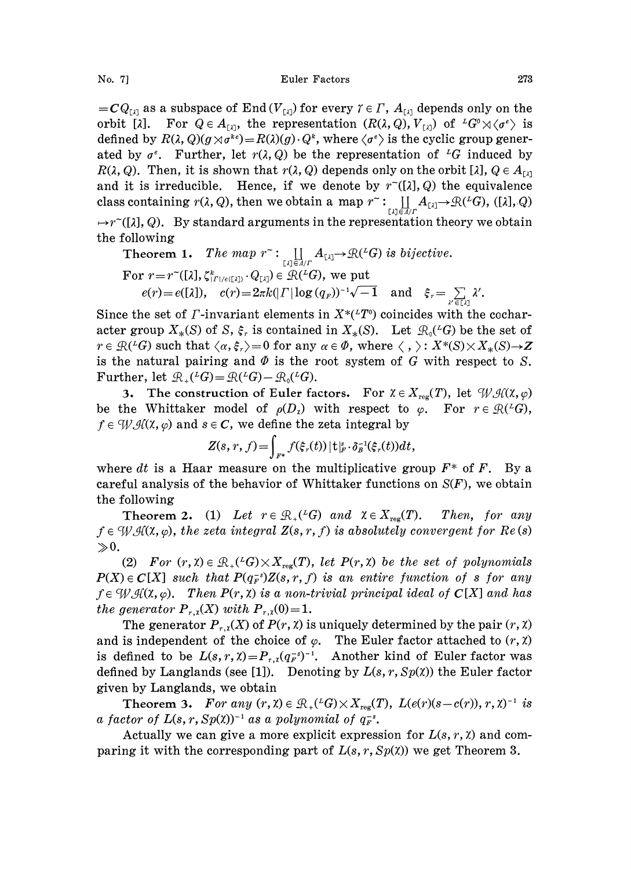$=CQ_{\text{rad}}$  as a subspace of End  $(V_{\text{rad}})$  for every  $\gamma \in \Gamma$ ,  $A_{\text{rad}}$  depends only on the orbit [ $\lambda$ ]. For  $Q \in A_{\{X\}}$ , the representation  $(R(\lambda, Q), V_{\{X\}})$  of  $^L G^0 \rtimes \langle \sigma^e \rangle$  is defined by  $R(\lambda, Q)(g \times \sigma^{k})=R(\lambda)(g) \cdot Q^k$ , where  $\langle \sigma^e \rangle$  is the cyclic group generated by  $\sigma^e$ . Further, let  $r(\lambda, Q)$  be the representation of <sup>L</sup>G induced by  $R(\lambda, Q)$ . Then, it is shown that  $r(\lambda, Q)$  depends only on the orbit [ $\lambda$ ],  $Q \in A_{[\lambda]}$  and it is irreducible. Hence, if we denote by  $r^{\sim}([\lambda], Q)$  the equivalence Hence, if we denote by  $r<sup>-(</sup>[ $\lambda$ ], Q)$  the equivalence class containing  $r(\lambda,Q),$  then we obtain a map  $r^- \colon\displaystyle\coprod_{[\lambda]\in A/\varGamma} A_{[\lambda]} \to \mathfrak{R}({}^L G),$  ([ $\lambda], Q$ )  $r(T(\lambda), Q)$ . By standard arguments in the representation theory we obtain the following

**Theorem 1.** The map 
$$
r^{\sim}
$$
: 
$$
\coprod_{[\lambda] \in A/F} A_{[\lambda]} \rightarrow \mathcal{R}(^L G)
$$
 is bijective.  
For  $r = r^{\sim}([\lambda], \zeta_{[F]/e([\lambda])}^* \cdot Q_{[\lambda]}) \in \mathcal{R}(^L G)$ , we put  
 $e(r) = e([\lambda]), \quad c(r) = 2\pi k (|F| \log (q_F))^{-1} \sqrt{-1} \quad \text{and} \quad \xi_r = \sum_{\lambda' \in [\lambda]} \lambda'.$ 

Since the set of *Γ*-invariant elements in  $X^*(^{\iota}T^{\mathfrak{0}})$  coincides with the cocharacter group  $X_*(S)$  of S,  $\xi_r$  is contained in  $X_*(S)$ . Let  $\mathcal{R}_0({}^L G)$  be the set of  $r \in \mathcal{R}(\mathcal{L}G)$  such that  $\langle \alpha, \xi_r \rangle = 0$  for any  $\alpha \in \Phi$ , where  $\langle , \rangle : X^*(S) \times X^*(S) \rightarrow Z$ .  $r \in \mathcal{R}(4G)$  such that  $\langle \alpha, \xi_r \rangle = 0$  for any  $\alpha \in \varnothing$ , where  $\langle , \rangle : X^*(S) \times X_*(S) \rightarrow Z$ <br>is the natural pairing and  $\varnothing$  is the root system of G with respect to S.<br>Further, let  $\mathcal{R}_+(G) = \mathcal{R}(4G) - \mathcal{R}_0(^2G)$ .

3. The construction of Euler factors. For  $\chi \in X_{reg}(T)$ , let  $\mathcal{W} \mathcal{H}(\chi, \varphi)$ be the Whittaker model of  $\rho(D_\lambda)$  with respect to  $\varphi$ . For  $r \in \mathcal{R}({}^L G)$ ,  $f \in \mathcal{W}$   $\mathcal{H}(\mathcal{X}, \varphi)$  and  $s \in \mathbb{C}$ , we define the zeta integral by

$$
Z(s,r,f) = \int_{F^*} f(\xi_r(t)) |t|_{F}^s \cdot \delta_B^{-1}(\xi_r(t)) dt,
$$

where dt is a Haar measure on the multiplicative group  $F^*$  of F. By a careful analysis of the behavior of Whittaker functions on  $S(F)$ , we obtain the following

**Theorem 2.** (1) Let  $r \in \mathbb{R}_+(^L G)$  and  $\chi \in X_{reg}(T)$ . Then, for any  $f \in \mathcal{W}(\mathcal{X}, \varphi)$ , the zeta integral  $Z(s, r, f)$  is absolutely convergent for  $Re(s)$  $\gg 0$ .

(2) For  $(r, \chi) \in \mathcal{R}_+(^L G) \times X_{\text{reg}}(T)$ , let  $P(r, \chi)$  be the set of polynomials  $P(X) \in C[X]$  such that  $P(q_F^{-s})Z(s, r, f)$  is an entire function of s for any  $f \in \mathcal{W}$   $\mathcal{H}(\mathbf{x}, \varphi)$ . Then  $P(r, \mathbf{x})$  is a non-trivial principal ideal of  $\mathbf{C}[X]$  and has the generator  $P_{r,x}(X)$  with  $P_{r,x}(0)=1$ .

The generator  $P_{r,x}(X)$  of  $P(r, \chi)$  is uniquely determined by the pair  $(r, \chi)$ and is independent of the choice of  $\varphi$ . The Euler factor attached to  $(r, \chi)$ is defined to be  $L(s, r, \chi) = P_{r, \chi}(q_F^{-s})^{-1}$ . Another kind of Euler factor was defined by Langlands (see [1]). Denoting by  $L(s, r, Sp(x))$  the Euler factor given by Langlands, we obtain

**Theorem 3.** For any  $(r, \lambda) \in \mathcal{R}_+(^L G) \times X_{reg}(T)$ ,  $L(e(r)(s-c(r)), r, \lambda)^{-1}$  is the r of  $L(s, r, Sp(\lambda))^{-1}$  as a polynomial of  $g_{\overline{r}}^s$ . a factor of  $L(s, r, Sp(X))^{-1}$  as a polynomial of  $q_F^{-s}$ .

Actually we can give a more explicit expression for  $L(s, r, \chi)$  and comparing it with the corresponding part of  $L(s, r, Sp(x))$  we get Theorem 3.